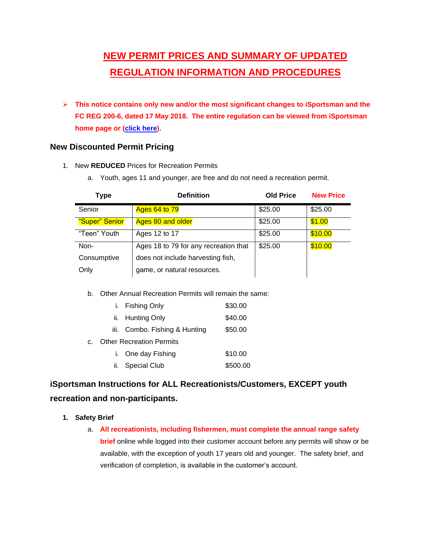# **NEW PERMIT PRICES AND SUMMARY OF UPDATED REGULATION INFORMATION AND PROCEDURES**

➢ **This notice contains only new and/or the most significant changes to iSportsman and the FC REG 200-6, dated 17 May 2018. The entire regulation can be viewed from iSportsman home page or [\(click here\)](file:///R:/ENV/CONS/WILD/Regulations/FC%20200-6%20Reg/May%202018%20200-6/FC%20Reg%20200-6_17%20May%202018_final.docx).**

# **New Discounted Permit Pricing**

- 1. New **REDUCED** Prices for Recreation Permits
	- a. Youth, ages 11 and younger, are free and do not need a recreation permit.

| <b>Type</b>    | <b>Definition</b>                     | <b>Old Price</b> | <b>New Price</b> |
|----------------|---------------------------------------|------------------|------------------|
| Senior         | <b>Ages 64 to 79</b>                  | \$25.00          | \$25.00          |
| "Super" Senior | Ages 80 and older                     | \$25.00          | \$1.00           |
| "Teen" Youth   | Ages 12 to 17                         | \$25.00          | \$10.00          |
| Non-           | Ages 18 to 79 for any recreation that | \$25.00          | \$10.00          |
| Consumptive    | does not include harvesting fish,     |                  |                  |
| Only           | game, or natural resources.           |                  |                  |

b. Other Annual Recreation Permits will remain the same:

|                | i. Fishing Only                 | \$30.00  |
|----------------|---------------------------------|----------|
|                | ii. Hunting Only                | \$40.00  |
|                | iii. Combo. Fishing & Hunting   | \$50.00  |
| C <sub>1</sub> | <b>Other Recreation Permits</b> |          |
|                | i. One day Fishing              | \$10.00  |
|                | ii. Special Club                | \$500.00 |

# **iSportsman Instructions for ALL Recreationists/Customers, EXCEPT youth recreation and non-participants.**

- **1. Safety Brief**
	- a. **All recreationists, including fishermen, must complete the annual range safety brief** online while logged into their customer account before any permits will show or be available, with the exception of youth 17 years old and younger. The safety brief, and verification of completion, is available in the customer's account.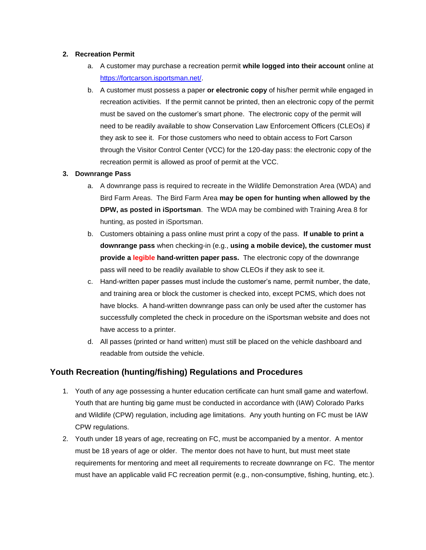#### **2. Recreation Permit**

- a. A customer may purchase a recreation permit **while logged into their account** online at [https://fortcarson.isportsman.net/.](https://fortcarson.isportsman.net/)
- b. A customer must possess a paper **or electronic copy** of his/her permit while engaged in recreation activities. If the permit cannot be printed, then an electronic copy of the permit must be saved on the customer's smart phone. The electronic copy of the permit will need to be readily available to show Conservation Law Enforcement Officers (CLEOs) if they ask to see it. For those customers who need to obtain access to Fort Carson through the Visitor Control Center (VCC) for the 120-day pass: the electronic copy of the recreation permit is allowed as proof of permit at the VCC.

#### **3. Downrange Pass**

- a. A downrange pass is required to recreate in the Wildlife Demonstration Area (WDA) and Bird Farm Areas. The Bird Farm Area **may be open for hunting when allowed by the DPW, as posted in iSportsman**. The WDA may be combined with Training Area 8 for hunting, as posted in iSportsman.
- b. Customers obtaining a pass online must print a copy of the pass. **If unable to print a downrange pass** when checking-in (e.g., **using a mobile device), the customer must provide a legible hand-written paper pass.** The electronic copy of the downrange pass will need to be readily available to show CLEOs if they ask to see it.
- c. Hand-written paper passes must include the customer's name, permit number, the date, and training area or block the customer is checked into, except PCMS, which does not have blocks. A hand-written downrange pass can only be used after the customer has successfully completed the check in procedure on the iSportsman website and does not have access to a printer.
- d. All passes (printed or hand written) must still be placed on the vehicle dashboard and readable from outside the vehicle.

# **Youth Recreation (hunting/fishing) Regulations and Procedures**

- 1. Youth of any age possessing a hunter education certificate can hunt small game and waterfowl. Youth that are hunting big game must be conducted in accordance with (IAW) Colorado Parks and Wildlife (CPW) regulation, including age limitations. Any youth hunting on FC must be IAW CPW regulations.
- 2. Youth under 18 years of age, recreating on FC, must be accompanied by a mentor. A mentor must be 18 years of age or older. The mentor does not have to hunt, but must meet state requirements for mentoring and meet all requirements to recreate downrange on FC. The mentor must have an applicable valid FC recreation permit (e.g., non-consumptive, fishing, hunting, etc.).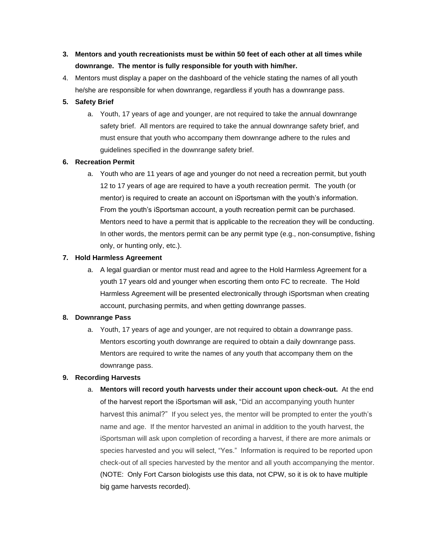- **3. Mentors and youth recreationists must be within 50 feet of each other at all times while downrange. The mentor is fully responsible for youth with him/her.**
- 4. Mentors must display a paper on the dashboard of the vehicle stating the names of all youth he/she are responsible for when downrange, regardless if youth has a downrange pass.

#### **5. Safety Brief**

a. Youth, 17 years of age and younger, are not required to take the annual downrange safety brief. All mentors are required to take the annual downrange safety brief, and must ensure that youth who accompany them downrange adhere to the rules and guidelines specified in the downrange safety brief.

#### **6. Recreation Permit**

a. Youth who are 11 years of age and younger do not need a recreation permit, but youth 12 to 17 years of age are required to have a youth recreation permit. The youth (or mentor) is required to create an account on iSportsman with the youth's information. From the youth's iSportsman account, a youth recreation permit can be purchased. Mentors need to have a permit that is applicable to the recreation they will be conducting. In other words, the mentors permit can be any permit type (e.g., non-consumptive, fishing only, or hunting only, etc.).

#### **7. Hold Harmless Agreement**

a. A legal guardian or mentor must read and agree to the Hold Harmless Agreement for a youth 17 years old and younger when escorting them onto FC to recreate. The Hold Harmless Agreement will be presented electronically through iSportsman when creating account, purchasing permits, and when getting downrange passes.

#### **8. Downrange Pass**

a. Youth, 17 years of age and younger, are not required to obtain a downrange pass. Mentors escorting youth downrange are required to obtain a daily downrange pass. Mentors are required to write the names of any youth that accompany them on the downrange pass.

#### **9. Recording Harvests**

a. **Mentors will record youth harvests under their account upon check-out.** At the end of the harvest report the iSportsman will ask, "Did an accompanying youth hunter harvest this animal?" If you select yes, the mentor will be prompted to enter the youth's name and age. If the mentor harvested an animal in addition to the youth harvest, the iSportsman will ask upon completion of recording a harvest, if there are more animals or species harvested and you will select, "Yes." Information is required to be reported upon check-out of all species harvested by the mentor and all youth accompanying the mentor. (NOTE: Only Fort Carson biologists use this data, not CPW, so it is ok to have multiple big game harvests recorded).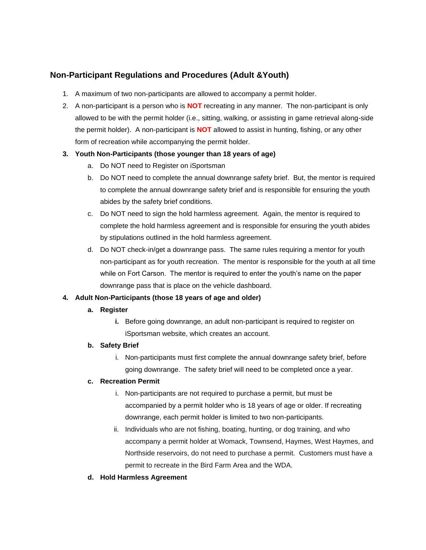# **Non-Participant Regulations and Procedures (Adult &Youth)**

- 1. A maximum of two non-participants are allowed to accompany a permit holder.
- 2. A non-participant is a person who is **NOT** recreating in any manner. The non-participant is only allowed to be with the permit holder (i.e., sitting, walking, or assisting in game retrieval along-side the permit holder). A non-participant is **NOT** allowed to assist in hunting, fishing, or any other form of recreation while accompanying the permit holder.

#### **3. Youth Non-Participants (those younger than 18 years of age)**

- a. Do NOT need to Register on iSportsman
- b. Do NOT need to complete the annual downrange safety brief. But, the mentor is required to complete the annual downrange safety brief and is responsible for ensuring the youth abides by the safety brief conditions.
- c. Do NOT need to sign the hold harmless agreement. Again, the mentor is required to complete the hold harmless agreement and is responsible for ensuring the youth abides by stipulations outlined in the hold harmless agreement.
- d. Do NOT check-in/get a downrange pass. The same rules requiring a mentor for youth non-participant as for youth recreation. The mentor is responsible for the youth at all time while on Fort Carson. The mentor is required to enter the youth's name on the paper downrange pass that is place on the vehicle dashboard.

#### **4. Adult Non-Participants (those 18 years of age and older)**

#### **a. Register**

**i.** Before going downrange, an adult non-participant is required to register on iSportsman website, which creates an account.

#### **b. Safety Brief**

i. Non-participants must first complete the annual downrange safety brief, before going downrange. The safety brief will need to be completed once a year.

#### **c. Recreation Permit**

- i. Non-participants are not required to purchase a permit, but must be accompanied by a permit holder who is 18 years of age or older. If recreating downrange, each permit holder is limited to two non-participants.
- ii. Individuals who are not fishing, boating, hunting, or dog training, and who accompany a permit holder at Womack, Townsend, Haymes, West Haymes, and Northside reservoirs, do not need to purchase a permit. Customers must have a permit to recreate in the Bird Farm Area and the WDA.
- **d. Hold Harmless Agreement**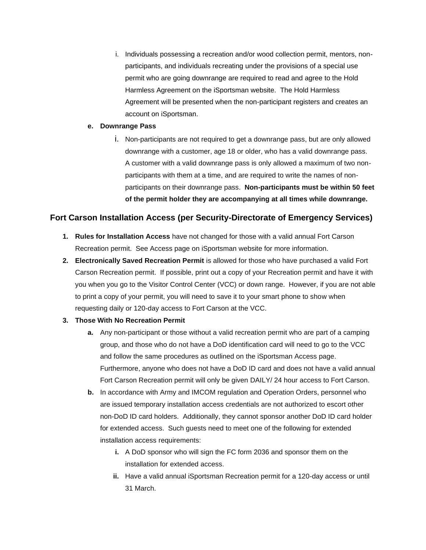i. Individuals possessing a recreation and/or wood collection permit, mentors, nonparticipants, and individuals recreating under the provisions of a special use permit who are going downrange are required to read and agree to the Hold Harmless Agreement on the iSportsman website. The Hold Harmless Agreement will be presented when the non-participant registers and creates an account on iSportsman.

#### **e. Downrange Pass**

i. Non-participants are not required to get a downrange pass, but are only allowed downrange with a customer, age 18 or older, who has a valid downrange pass. A customer with a valid downrange pass is only allowed a maximum of two nonparticipants with them at a time, and are required to write the names of nonparticipants on their downrange pass. **Non-participants must be within 50 feet of the permit holder they are accompanying at all times while downrange.**

# **Fort Carson Installation Access (per Security-Directorate of Emergency Services)**

- **1. Rules for Installation Access** have not changed for those with a valid annual Fort Carson Recreation permit. See Access page on iSportsman website for more information.
- **2. Electronically Saved Recreation Permit** is allowed for those who have purchased a valid Fort Carson Recreation permit. If possible, print out a copy of your Recreation permit and have it with you when you go to the Visitor Control Center (VCC) or down range. However, if you are not able to print a copy of your permit, you will need to save it to your smart phone to show when requesting daily or 120-day access to Fort Carson at the VCC.

#### **3. Those With No Recreation Permit**

- **a.** Any non-participant or those without a valid recreation permit who are part of a camping group, and those who do not have a DoD identification card will need to go to the VCC and follow the same procedures as outlined on the iSportsman Access page. Furthermore, anyone who does not have a DoD ID card and does not have a valid annual Fort Carson Recreation permit will only be given DAILY/ 24 hour access to Fort Carson.
- **b.** In accordance with Army and IMCOM regulation and Operation Orders, personnel who are issued temporary installation access credentials are not authorized to escort other non-DoD ID card holders. Additionally, they cannot sponsor another DoD ID card holder for extended access. Such guests need to meet one of the following for extended installation access requirements:
	- **i.** A DoD sponsor who will sign the FC form 2036 and sponsor them on the installation for extended access.
	- **ii.** Have a valid annual iSportsman Recreation permit for a 120-day access or until 31 March.